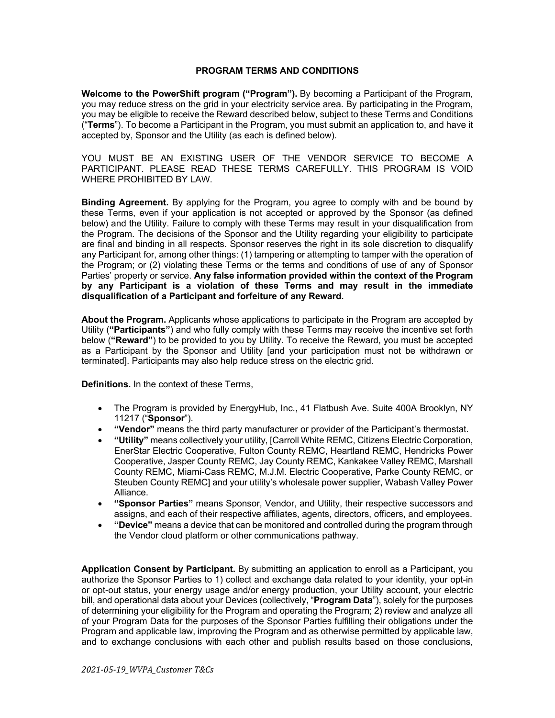## **PROGRAM TERMS AND CONDITIONS**

**Welcome to the PowerShift program ("Program").** By becoming a Participant of the Program, you may reduce stress on the grid in your electricity service area. By participating in the Program, you may be eligible to receive the Reward described below, subject to these Terms and Conditions ("**Terms**"). To become a Participant in the Program, you must submit an application to, and have it accepted by, Sponsor and the Utility (as each is defined below).

YOU MUST BE AN EXISTING USER OF THE VENDOR SERVICE TO BECOME A PARTICIPANT. PLEASE READ THESE TERMS CAREFULLY. THIS PROGRAM IS VOID WHERE PROHIBITED BY LAW.

**Binding Agreement.** By applying for the Program, you agree to comply with and be bound by these Terms, even if your application is not accepted or approved by the Sponsor (as defined below) and the Utility. Failure to comply with these Terms may result in your disqualification from the Program. The decisions of the Sponsor and the Utility regarding your eligibility to participate are final and binding in all respects. Sponsor reserves the right in its sole discretion to disqualify any Participant for, among other things: (1) tampering or attempting to tamper with the operation of the Program; or (2) violating these Terms or the terms and conditions of use of any of Sponsor Parties' property or service. **Any false information provided within the context of the Program by any Participant is a violation of these Terms and may result in the immediate disqualification of a Participant and forfeiture of any Reward.**

**About the Program.** Applicants whose applications to participate in the Program are accepted by Utility (**"Participants"**) and who fully comply with these Terms may receive the incentive set forth below (**"Reward"**) to be provided to you by Utility. To receive the Reward, you must be accepted as a Participant by the Sponsor and Utility [and your participation must not be withdrawn or terminated]. Participants may also help reduce stress on the electric grid.

**Definitions.** In the context of these Terms,

- The Program is provided by EnergyHub, Inc., 41 Flatbush Ave. Suite 400A Brooklyn, NY 11217 ("**Sponsor**").
- **"Vendor"** means the third party manufacturer or provider of the Participant's thermostat.
- **"Utility"** means collectively your utility, [Carroll White REMC, Citizens Electric Corporation, EnerStar Electric Cooperative, Fulton County REMC, Heartland REMC, Hendricks Power Cooperative, Jasper County REMC, Jay County REMC, Kankakee Valley REMC, Marshall County REMC, Miami-Cass REMC, M.J.M. Electric Cooperative, Parke County REMC, or Steuben County REMC] and your utility's wholesale power supplier, Wabash Valley Power Alliance.
- **"Sponsor Parties"** means Sponsor, Vendor, and Utility, their respective successors and assigns, and each of their respective affiliates, agents, directors, officers, and employees.
- **"Device"** means a device that can be monitored and controlled during the program through the Vendor cloud platform or other communications pathway.

**Application Consent by Participant.** By submitting an application to enroll as a Participant, you authorize the Sponsor Parties to 1) collect and exchange data related to your identity, your opt-in or opt-out status, your energy usage and/or energy production, your Utility account, your electric bill, and operational data about your Devices (collectively, "**Program Data**"), solely for the purposes of determining your eligibility for the Program and operating the Program; 2) review and analyze all of your Program Data for the purposes of the Sponsor Parties fulfilling their obligations under the Program and applicable law, improving the Program and as otherwise permitted by applicable law, and to exchange conclusions with each other and publish results based on those conclusions,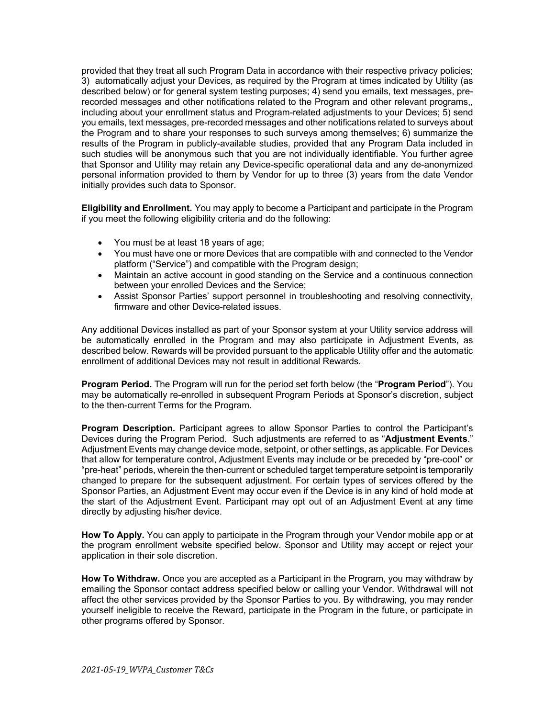provided that they treat all such Program Data in accordance with their respective privacy policies; 3) automatically adjust your Devices, as required by the Program at times indicated by Utility (as described below) or for general system testing purposes; 4) send you emails, text messages, prerecorded messages and other notifications related to the Program and other relevant programs,, including about your enrollment status and Program-related adjustments to your Devices; 5) send you emails, text messages, pre-recorded messages and other notifications related to surveys about the Program and to share your responses to such surveys among themselves; 6) summarize the results of the Program in publicly-available studies, provided that any Program Data included in such studies will be anonymous such that you are not individually identifiable. You further agree that Sponsor and Utility may retain any Device-specific operational data and any de-anonymized personal information provided to them by Vendor for up to three (3) years from the date Vendor initially provides such data to Sponsor.

**Eligibility and Enrollment.** You may apply to become a Participant and participate in the Program if you meet the following eligibility criteria and do the following:

- You must be at least 18 years of age;
- You must have one or more Devices that are compatible with and connected to the Vendor platform ("Service") and compatible with the Program design;
- Maintain an active account in good standing on the Service and a continuous connection between your enrolled Devices and the Service;
- Assist Sponsor Parties' support personnel in troubleshooting and resolving connectivity, firmware and other Device-related issues.

Any additional Devices installed as part of your Sponsor system at your Utility service address will be automatically enrolled in the Program and may also participate in Adjustment Events, as described below. Rewards will be provided pursuant to the applicable Utility offer and the automatic enrollment of additional Devices may not result in additional Rewards.

**Program Period.** The Program will run for the period set forth below (the "**Program Period**"). You may be automatically re-enrolled in subsequent Program Periods at Sponsor's discretion, subject to the then-current Terms for the Program.

**Program Description.** Participant agrees to allow Sponsor Parties to control the Participant's Devices during the Program Period. Such adjustments are referred to as "**Adjustment Events**." Adjustment Events may change device mode, setpoint, or other settings, as applicable. For Devices that allow for temperature control, Adjustment Events may include or be preceded by "pre-cool" or "pre-heat" periods, wherein the then-current or scheduled target temperature setpoint is temporarily changed to prepare for the subsequent adjustment. For certain types of services offered by the Sponsor Parties, an Adjustment Event may occur even if the Device is in any kind of hold mode at the start of the Adjustment Event. Participant may opt out of an Adjustment Event at any time directly by adjusting his/her device.

**How To Apply.** You can apply to participate in the Program through your Vendor mobile app or at the program enrollment website specified below. Sponsor and Utility may accept or reject your application in their sole discretion.

**How To Withdraw.** Once you are accepted as a Participant in the Program, you may withdraw by emailing the Sponsor contact address specified below or calling your Vendor. Withdrawal will not affect the other services provided by the Sponsor Parties to you. By withdrawing, you may render yourself ineligible to receive the Reward, participate in the Program in the future, or participate in other programs offered by Sponsor.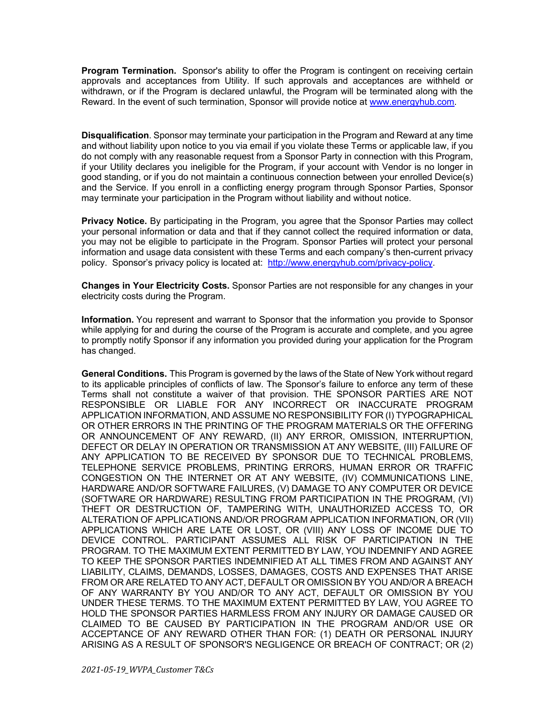**Program Termination.** Sponsor's ability to offer the Program is contingent on receiving certain approvals and acceptances from Utility. If such approvals and acceptances are withheld or withdrawn, or if the Program is declared unlawful, the Program will be terminated along with the Reward. In the event of such termination, Sponsor will provide notice at www.energyhub.com.

**Disqualification**. Sponsor may terminate your participation in the Program and Reward at any time and without liability upon notice to you via email if you violate these Terms or applicable law, if you do not comply with any reasonable request from a Sponsor Party in connection with this Program, if your Utility declares you ineligible for the Program, if your account with Vendor is no longer in good standing, or if you do not maintain a continuous connection between your enrolled Device(s) and the Service. If you enroll in a conflicting energy program through Sponsor Parties, Sponsor may terminate your participation in the Program without liability and without notice.

**Privacy Notice.** By participating in the Program, you agree that the Sponsor Parties may collect your personal information or data and that if they cannot collect the required information or data, you may not be eligible to participate in the Program. Sponsor Parties will protect your personal information and usage data consistent with these Terms and each company's then-current privacy policy. Sponsor's privacy policy is located at: http://www.energyhub.com/privacy-policy.

**Changes in Your Electricity Costs.** Sponsor Parties are not responsible for any changes in your electricity costs during the Program.

**Information.** You represent and warrant to Sponsor that the information you provide to Sponsor while applying for and during the course of the Program is accurate and complete, and you agree to promptly notify Sponsor if any information you provided during your application for the Program has changed.

**General Conditions.** This Program is governed by the laws of the State of New York without regard to its applicable principles of conflicts of law. The Sponsor's failure to enforce any term of these Terms shall not constitute a waiver of that provision. THE SPONSOR PARTIES ARE NOT RESPONSIBLE OR LIABLE FOR ANY INCORRECT OR INACCURATE PROGRAM APPLICATION INFORMATION, AND ASSUME NO RESPONSIBILITY FOR (I) TYPOGRAPHICAL OR OTHER ERRORS IN THE PRINTING OF THE PROGRAM MATERIALS OR THE OFFERING OR ANNOUNCEMENT OF ANY REWARD, (II) ANY ERROR, OMISSION, INTERRUPTION, DEFECT OR DELAY IN OPERATION OR TRANSMISSION AT ANY WEBSITE, (III) FAILURE OF ANY APPLICATION TO BE RECEIVED BY SPONSOR DUE TO TECHNICAL PROBLEMS, TELEPHONE SERVICE PROBLEMS, PRINTING ERRORS, HUMAN ERROR OR TRAFFIC CONGESTION ON THE INTERNET OR AT ANY WEBSITE, (IV) COMMUNICATIONS LINE, HARDWARE AND/OR SOFTWARE FAILURES, (V) DAMAGE TO ANY COMPUTER OR DEVICE (SOFTWARE OR HARDWARE) RESULTING FROM PARTICIPATION IN THE PROGRAM, (VI) THEFT OR DESTRUCTION OF, TAMPERING WITH, UNAUTHORIZED ACCESS TO, OR ALTERATION OF APPLICATIONS AND/OR PROGRAM APPLICATION INFORMATION, OR (VII) APPLICATIONS WHICH ARE LATE OR LOST, OR (VIII) ANY LOSS OF INCOME DUE TO DEVICE CONTROL. PARTICIPANT ASSUMES ALL RISK OF PARTICIPATION IN THE PROGRAM. TO THE MAXIMUM EXTENT PERMITTED BY LAW, YOU INDEMNIFY AND AGREE TO KEEP THE SPONSOR PARTIES INDEMNIFIED AT ALL TIMES FROM AND AGAINST ANY LIABILITY, CLAIMS, DEMANDS, LOSSES, DAMAGES, COSTS AND EXPENSES THAT ARISE FROM OR ARE RELATED TO ANY ACT, DEFAULT OR OMISSION BY YOU AND/OR A BREACH OF ANY WARRANTY BY YOU AND/OR TO ANY ACT, DEFAULT OR OMISSION BY YOU UNDER THESE TERMS. TO THE MAXIMUM EXTENT PERMITTED BY LAW, YOU AGREE TO HOLD THE SPONSOR PARTIES HARMLESS FROM ANY INJURY OR DAMAGE CAUSED OR CLAIMED TO BE CAUSED BY PARTICIPATION IN THE PROGRAM AND/OR USE OR ACCEPTANCE OF ANY REWARD OTHER THAN FOR: (1) DEATH OR PERSONAL INJURY ARISING AS A RESULT OF SPONSOR'S NEGLIGENCE OR BREACH OF CONTRACT; OR (2)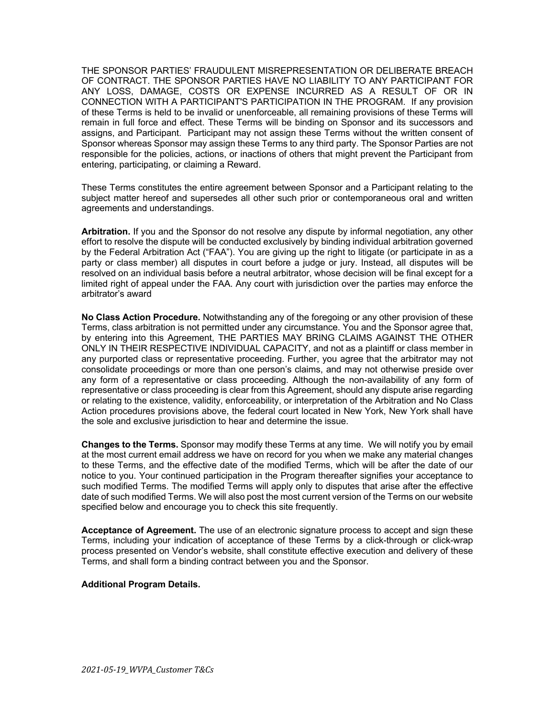THE SPONSOR PARTIES' FRAUDULENT MISREPRESENTATION OR DELIBERATE BREACH OF CONTRACT. THE SPONSOR PARTIES HAVE NO LIABILITY TO ANY PARTICIPANT FOR ANY LOSS, DAMAGE, COSTS OR EXPENSE INCURRED AS A RESULT OF OR IN CONNECTION WITH A PARTICIPANT'S PARTICIPATION IN THE PROGRAM. If any provision of these Terms is held to be invalid or unenforceable, all remaining provisions of these Terms will remain in full force and effect. These Terms will be binding on Sponsor and its successors and assigns, and Participant. Participant may not assign these Terms without the written consent of Sponsor whereas Sponsor may assign these Terms to any third party. The Sponsor Parties are not responsible for the policies, actions, or inactions of others that might prevent the Participant from entering, participating, or claiming a Reward.

These Terms constitutes the entire agreement between Sponsor and a Participant relating to the subject matter hereof and supersedes all other such prior or contemporaneous oral and written agreements and understandings.

**Arbitration.** If you and the Sponsor do not resolve any dispute by informal negotiation, any other effort to resolve the dispute will be conducted exclusively by binding individual arbitration governed by the Federal Arbitration Act ("FAA"). You are giving up the right to litigate (or participate in as a party or class member) all disputes in court before a judge or jury. Instead, all disputes will be resolved on an individual basis before a neutral arbitrator, whose decision will be final except for a limited right of appeal under the FAA. Any court with jurisdiction over the parties may enforce the arbitrator's award

**No Class Action Procedure.** Notwithstanding any of the foregoing or any other provision of these Terms, class arbitration is not permitted under any circumstance. You and the Sponsor agree that, by entering into this Agreement, THE PARTIES MAY BRING CLAIMS AGAINST THE OTHER ONLY IN THEIR RESPECTIVE INDIVIDUAL CAPACITY, and not as a plaintiff or class member in any purported class or representative proceeding. Further, you agree that the arbitrator may not consolidate proceedings or more than one person's claims, and may not otherwise preside over any form of a representative or class proceeding. Although the non-availability of any form of representative or class proceeding is clear from this Agreement, should any dispute arise regarding or relating to the existence, validity, enforceability, or interpretation of the Arbitration and No Class Action procedures provisions above, the federal court located in New York, New York shall have the sole and exclusive jurisdiction to hear and determine the issue.

**Changes to the Terms.** Sponsor may modify these Terms at any time. We will notify you by email at the most current email address we have on record for you when we make any material changes to these Terms, and the effective date of the modified Terms, which will be after the date of our notice to you. Your continued participation in the Program thereafter signifies your acceptance to such modified Terms. The modified Terms will apply only to disputes that arise after the effective date of such modified Terms. We will also post the most current version of the Terms on our website specified below and encourage you to check this site frequently.

**Acceptance of Agreement.** The use of an electronic signature process to accept and sign these Terms, including your indication of acceptance of these Terms by a click-through or click-wrap process presented on Vendor's website, shall constitute effective execution and delivery of these Terms, and shall form a binding contract between you and the Sponsor.

## **Additional Program Details.**